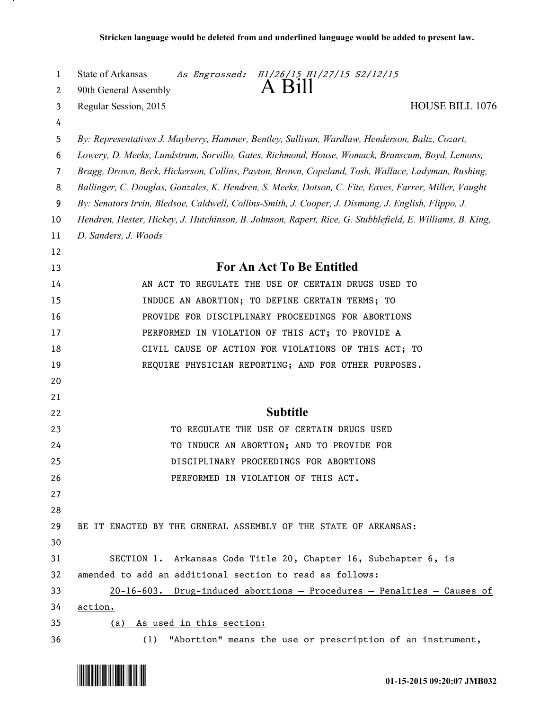| 1  | State of Arkansas<br>As Engrossed: H1/26/15 H1/27/15 S2/12/15                                            |
|----|----------------------------------------------------------------------------------------------------------|
| 2  | $A$ Bill<br>90th General Assembly                                                                        |
| 3  | Regular Session, 2015<br><b>HOUSE BILL 1076</b>                                                          |
| 4  |                                                                                                          |
| 5  | By: Representatives J. Mayberry, Hammer, Bentley, Sullivan, Wardlaw, Henderson, Baltz, Cozart,           |
| 6  | Lowery, D. Meeks, Lundstrum, Sorvillo, Gates, Richmond, House, Womack, Branscum, Boyd, Lemons,           |
| 7  | Bragg, Drown, Beck, Hickerson, Collins, Payton, Brown, Copeland, Tosh, Wallace, Ladyman, Rushing,        |
| 8  | Ballinger, C. Douglas, Gonzales, K. Hendren, S. Meeks, Dotson, C. Fite, Eaves, Farrer, Miller, Vaught    |
| 9  | By: Senators Irvin, Bledsoe, Caldwell, Collins-Smith, J. Cooper, J. Dismang, J. English, Flippo, J.      |
| 10 | Hendren, Hester, Hickey, J. Hutchinson, B. Johnson, Rapert, Rice, G. Stubblefield, E. Williams, B. King, |
| 11 | D. Sanders, J. Woods                                                                                     |
| 12 |                                                                                                          |
| 13 | For An Act To Be Entitled                                                                                |
| 14 | AN ACT TO REGULATE THE USE OF CERTAIN DRUGS USED TO                                                      |
| 15 | INDUCE AN ABORTION; TO DEFINE CERTAIN TERMS; TO                                                          |
| 16 | PROVIDE FOR DISCIPLINARY PROCEEDINGS FOR ABORTIONS                                                       |
| 17 | PERFORMED IN VIOLATION OF THIS ACT; TO PROVIDE A                                                         |
| 18 | CIVIL CAUSE OF ACTION FOR VIOLATIONS OF THIS ACT; TO                                                     |
| 19 | REQUIRE PHYSICIAN REPORTING; AND FOR OTHER PURPOSES.                                                     |
| 20 |                                                                                                          |
| 21 |                                                                                                          |
| 22 | <b>Subtitle</b>                                                                                          |
| 23 | TO REGULATE THE USE OF CERTAIN DRUGS USED                                                                |
| 24 | TO INDUCE AN ABORTION; AND TO PROVIDE FOR                                                                |
| 25 | DISCIPLINARY PROCEEDINGS FOR ABORTIONS                                                                   |
| 26 | PERFORMED IN VIOLATION OF THIS ACT.                                                                      |
| 27 |                                                                                                          |
| 28 |                                                                                                          |
| 29 | BE IT ENACTED BY THE GENERAL ASSEMBLY OF THE STATE OF ARKANSAS:                                          |
| 30 |                                                                                                          |
| 31 | SECTION 1. Arkansas Code Title 20, Chapter 16, Subchapter 6, is                                          |
| 32 | amended to add an additional section to read as follows:                                                 |
| 33 | $20-16-603$ . Drug-induced abortions - Procedures - Penalties - Causes of                                |
| 34 | action.                                                                                                  |
| 35 | (a) As used in this section:                                                                             |
| 36 | (1) "Abortion" means the use or prescription of an instrument,                                           |



.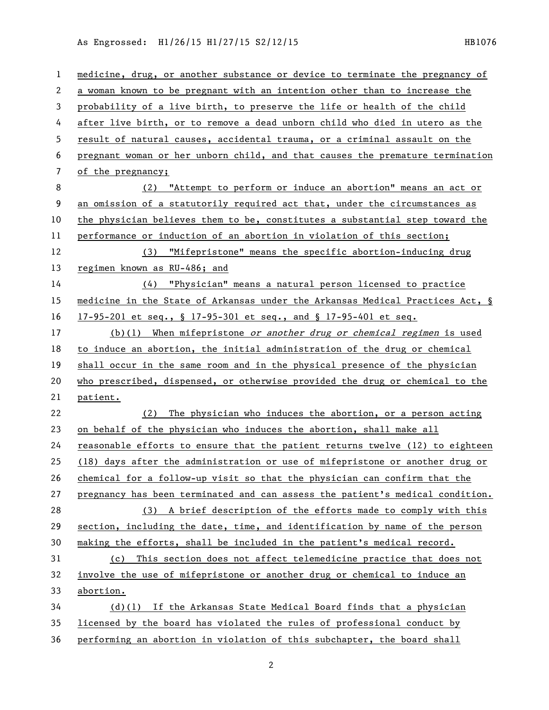As Engrossed: H1/26/15 H1/27/15 S2/12/15 1120 1120 1121076

| $\mathbf{1}$   | medicine, drug, or another substance or device to terminate the pregnancy of  |
|----------------|-------------------------------------------------------------------------------|
| 2              | a woman known to be pregnant with an intention other than to increase the     |
| 3              | probability of a live birth, to preserve the life or health of the child      |
| 4              | after live birth, or to remove a dead unborn child who died in utero as the   |
| 5              | result of natural causes, accidental trauma, or a criminal assault on the     |
| 6              | pregnant woman or her unborn child, and that causes the premature termination |
| $\overline{7}$ | of the pregnancy;                                                             |
| 8              | (2) "Attempt to perform or induce an abortion" means an act or                |
| 9              | an omission of a statutorily required act that, under the circumstances as    |
| 10             | the physician believes them to be, constitutes a substantial step toward the  |
| 11             | performance or induction of an abortion in violation of this section;         |
| 12             | (3) "Mifepristone" means the specific abortion-inducing drug                  |
| 13             | regimen known as RU-486; and                                                  |
| 14             | $(4)$ "Physician" means a natural person licensed to practice                 |
| 15             | medicine in the State of Arkansas under the Arkansas Medical Practices Act, § |
| 16             | 17-95-201 et seq., § 17-95-301 et seq., and § 17-95-401 et seq.               |
| 17             | (b)(1) When mifepristone or another drug or chemical regimen is used          |
| 18             | to induce an abortion, the initial administration of the drug or chemical     |
| 19             | shall occur in the same room and in the physical presence of the physician    |
| 20             | who prescribed, dispensed, or otherwise provided the drug or chemical to the  |
| 21             | patient.                                                                      |
| 22             | The physician who induces the abortion, or a person acting<br>(2)             |
| 23             | on behalf of the physician who induces the abortion, shall make all           |
| 24             | reasonable efforts to ensure that the patient returns twelve (12) to eighteen |
| 25             | (18) days after the administration or use of mifepristone or another drug or  |
| 26             | chemical for a follow-up visit so that the physician can confirm that the     |
| 27             | pregnancy has been terminated and can assess the patient's medical condition. |
| 28             | A brief description of the efforts made to comply with this<br>(3)            |
| 29             | section, including the date, time, and identification by name of the person   |
| 30             | making the efforts, shall be included in the patient's medical record.        |
| 31             | This section does not affect telemedicine practice that does not<br>(c)       |
| 32             | involve the use of mifepristone or another drug or chemical to induce an      |
| 33             | abortion.                                                                     |
| 34             | (d)(l) If the Arkansas State Medical Board finds that a physician             |
| 35             | licensed by the board has violated the rules of professional conduct by       |
| 36             | performing an abortion in violation of this subchapter, the board shall       |

2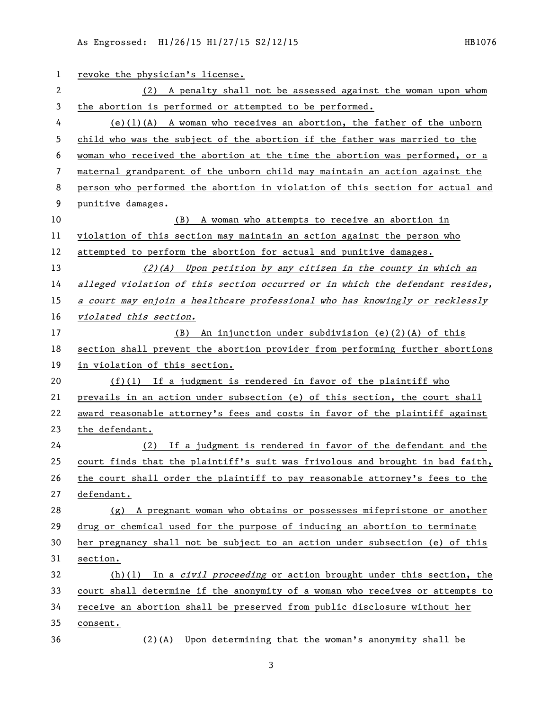As Engrossed: H1/26/15 H1/27/15 S2/12/15

1 revoke the physician's license. (2) A penalty shall not be assessed against the woman upon whom the abortion is performed or attempted to be performed. (e)(1)(A) A woman who receives an abortion, the father of the unborn child who was the subject of the abortion if the father was married to the woman who received the abortion at the time the abortion was performed, or a maternal grandparent of the unborn child may maintain an action against the person who performed the abortion in violation of this section for actual and punitive damages. (B) A woman who attempts to receive an abortion in violation of this section may maintain an action against the person who attempted to perform the abortion for actual and punitive damages. (2)(A) Upon petition by any citizen in the county in which an alleged violation of this section occurred or in which the defendant resides, a court may enjoin a healthcare professional who has knowingly or recklessly violated this section. (B) An injunction under subdivision (e)(2)(A) of this section shall prevent the abortion provider from performing further abortions in violation of this section. (f)(1) If a judgment is rendered in favor of the plaintiff who prevails in an action under subsection (e) of this section, the court shall award reasonable attorney's fees and costs in favor of the plaintiff against the defendant. (2) If a judgment is rendered in favor of the defendant and the court finds that the plaintiff's suit was frivolous and brought in bad faith, the court shall order the plaintiff to pay reasonable attorney's fees to the defendant. (g) A pregnant woman who obtains or possesses mifepristone or another drug or chemical used for the purpose of inducing an abortion to terminate her pregnancy shall not be subject to an action under subsection (e) of this section. 32 (h)(1) In a *civil proceeding* or action brought under this section, the court shall determine if the anonymity of a woman who receives or attempts to receive an abortion shall be preserved from public disclosure without her consent. (2)(A) Upon determining that the woman's anonymity shall be